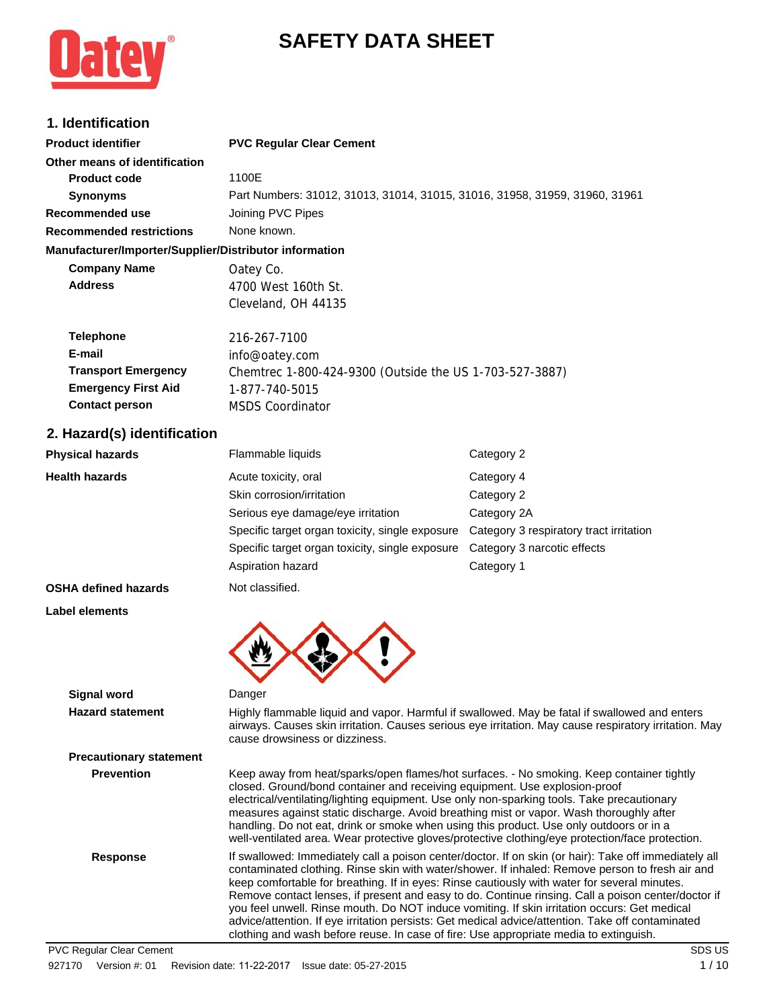# **SAFETY DATA SHEET**



# **1. Identification**

| <b>Product identifier</b>                              | <b>PVC Regular Clear Cement</b>                                             |            |  |
|--------------------------------------------------------|-----------------------------------------------------------------------------|------------|--|
| Other means of identification                          |                                                                             |            |  |
| <b>Product code</b>                                    | 1100E                                                                       |            |  |
| <b>Synonyms</b>                                        | Part Numbers: 31012, 31013, 31014, 31015, 31016, 31958, 31959, 31960, 31961 |            |  |
| Recommended use                                        | Joining PVC Pipes                                                           |            |  |
| <b>Recommended restrictions</b>                        | None known.                                                                 |            |  |
| Manufacturer/Importer/Supplier/Distributor information |                                                                             |            |  |
| <b>Company Name</b>                                    | Oatey Co.                                                                   |            |  |
| <b>Address</b>                                         | 4700 West 160th St.                                                         |            |  |
|                                                        | Cleveland, OH 44135                                                         |            |  |
| <b>Telephone</b>                                       | 216-267-7100                                                                |            |  |
| E-mail                                                 | info@oatey.com                                                              |            |  |
| <b>Transport Emergency</b>                             | Chemtrec 1-800-424-9300 (Outside the US 1-703-527-3887)                     |            |  |
| <b>Emergency First Aid</b>                             | 1-877-740-5015                                                              |            |  |
| <b>Contact person</b>                                  | <b>MSDS Coordinator</b>                                                     |            |  |
| 2. Hazard(s) identification                            |                                                                             |            |  |
| <b>Physical hazards</b>                                | Flammable liquids                                                           | Category 2 |  |

| Health hazards                 | Acute toxicity, oral<br>Skin corrosion/irritation<br>Serious eye damage/eye irritation<br>Specific target organ toxicity, single exposure<br>Specific target organ toxicity, single exposure<br>Aspiration hazard                                                                                                                                              | Category 4<br>Category 2<br>Category 2A<br>Category 3 respiratory tract irritation<br>Category 3 narcotic effects<br>Category 1                                                                                                                                                                                                                                                                                     |
|--------------------------------|----------------------------------------------------------------------------------------------------------------------------------------------------------------------------------------------------------------------------------------------------------------------------------------------------------------------------------------------------------------|---------------------------------------------------------------------------------------------------------------------------------------------------------------------------------------------------------------------------------------------------------------------------------------------------------------------------------------------------------------------------------------------------------------------|
| OSHA defined hazards           | Not classified.                                                                                                                                                                                                                                                                                                                                                |                                                                                                                                                                                                                                                                                                                                                                                                                     |
| Label elements                 |                                                                                                                                                                                                                                                                                                                                                                |                                                                                                                                                                                                                                                                                                                                                                                                                     |
| <b>Signal word</b>             | Danger                                                                                                                                                                                                                                                                                                                                                         |                                                                                                                                                                                                                                                                                                                                                                                                                     |
| <b>Hazard statement</b>        | cause drowsiness or dizziness.                                                                                                                                                                                                                                                                                                                                 | Highly flammable liquid and vapor. Harmful if swallowed. May be fatal if swallowed and enters<br>airways. Causes skin irritation. Causes serious eye irritation. May cause respiratory irritation. May                                                                                                                                                                                                              |
| <b>Precautionary statement</b> |                                                                                                                                                                                                                                                                                                                                                                |                                                                                                                                                                                                                                                                                                                                                                                                                     |
| <b>Prevention</b>              | closed. Ground/bond container and receiving equipment. Use explosion-proof<br>electrical/ventilating/lighting equipment. Use only non-sparking tools. Take precautionary<br>measures against static discharge. Avoid breathing mist or vapor. Wash thoroughly after<br>handling. Do not eat, drink or smoke when using this product. Use only outdoors or in a | Keep away from heat/sparks/open flames/hot surfaces. - No smoking. Keep container tightly<br>well-ventilated area. Wear protective gloves/protective clothing/eye protection/face protection.                                                                                                                                                                                                                       |
| <b>Response</b>                | keep comfortable for breathing. If in eyes: Rinse cautiously with water for several minutes.<br>you feel unwell. Rinse mouth. Do NOT induce vomiting. If skin irritation occurs: Get medical<br>clothing and wash before reuse. In case of fire: Use appropriate media to extinguish.                                                                          | If swallowed: Immediately call a poison center/doctor. If on skin (or hair): Take off immediately all<br>contaminated clothing. Rinse skin with water/shower. If inhaled: Remove person to fresh air and<br>Remove contact lenses, if present and easy to do. Continue rinsing. Call a poison center/doctor if<br>advice/attention. If eye irritation persists: Get medical advice/attention. Take off contaminated |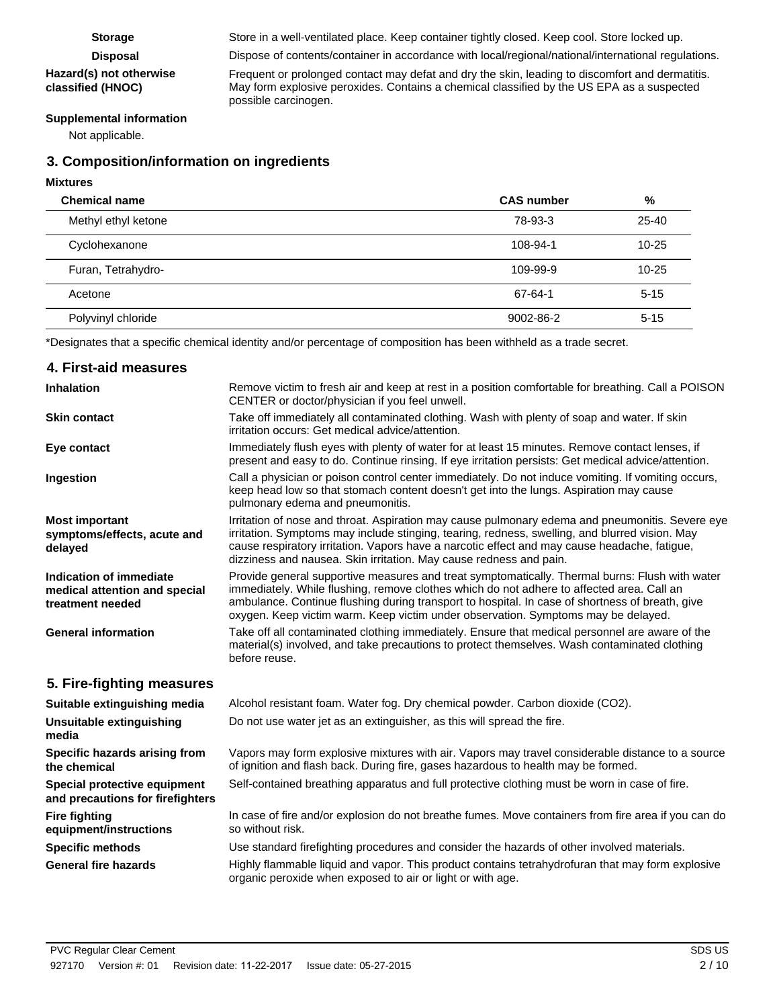#### **Hazard(s) not otherwise classified (HNOC)**

Storage Store in a well-ventilated place. Keep container tightly closed. Keep cool. Store locked up.

**Disposal** Dispose of contents/container in accordance with local/regional/national/international regulations.

Frequent or prolonged contact may defat and dry the skin, leading to discomfort and dermatitis. May form explosive peroxides. Contains a chemical classified by the US EPA as a suspected possible carcinogen.

#### **Supplemental information**

Not applicable.

## **3. Composition/information on ingredients**

#### **Mixtures**

| <b>Chemical name</b> | <b>CAS number</b> | %         |
|----------------------|-------------------|-----------|
| Methyl ethyl ketone  | 78-93-3           | $25 - 40$ |
| Cyclohexanone        | 108-94-1          | $10 - 25$ |
| Furan, Tetrahydro-   | 109-99-9          | $10 - 25$ |
| Acetone              | 67-64-1           | $5 - 15$  |
| Polyvinyl chloride   | 9002-86-2         | $5 - 15$  |
|                      |                   |           |

\*Designates that a specific chemical identity and/or percentage of composition has been withheld as a trade secret.

### **4. First-aid measures**

| Inhalation                                                                   | Remove victim to fresh air and keep at rest in a position comfortable for breathing. Call a POISON<br>CENTER or doctor/physician if you feel unwell.                                                                                                                                                                                                                                |
|------------------------------------------------------------------------------|-------------------------------------------------------------------------------------------------------------------------------------------------------------------------------------------------------------------------------------------------------------------------------------------------------------------------------------------------------------------------------------|
| <b>Skin contact</b>                                                          | Take off immediately all contaminated clothing. Wash with plenty of soap and water. If skin<br>irritation occurs: Get medical advice/attention.                                                                                                                                                                                                                                     |
| Eye contact                                                                  | Immediately flush eyes with plenty of water for at least 15 minutes. Remove contact lenses, if<br>present and easy to do. Continue rinsing. If eye irritation persists: Get medical advice/attention.                                                                                                                                                                               |
| Ingestion                                                                    | Call a physician or poison control center immediately. Do not induce vomiting. If vomiting occurs,<br>keep head low so that stomach content doesn't get into the lungs. Aspiration may cause<br>pulmonary edema and pneumonitis.                                                                                                                                                    |
| <b>Most important</b><br>symptoms/effects, acute and<br>delayed              | Irritation of nose and throat. Aspiration may cause pulmonary edema and pneumonitis. Severe eye<br>irritation. Symptoms may include stinging, tearing, redness, swelling, and blurred vision. May<br>cause respiratory irritation. Vapors have a narcotic effect and may cause headache, fatigue,<br>dizziness and nausea. Skin irritation. May cause redness and pain.             |
| Indication of immediate<br>medical attention and special<br>treatment needed | Provide general supportive measures and treat symptomatically. Thermal burns: Flush with water<br>immediately. While flushing, remove clothes which do not adhere to affected area. Call an<br>ambulance. Continue flushing during transport to hospital. In case of shortness of breath, give<br>oxygen. Keep victim warm. Keep victim under observation. Symptoms may be delayed. |
| <b>General information</b>                                                   | Take off all contaminated clothing immediately. Ensure that medical personnel are aware of the<br>material(s) involved, and take precautions to protect themselves. Wash contaminated clothing<br>before reuse.                                                                                                                                                                     |
| 5. Fire-fighting measures                                                    |                                                                                                                                                                                                                                                                                                                                                                                     |
| Suitable extinguishing media                                                 | Alcohol resistant foam. Water fog. Dry chemical powder. Carbon dioxide (CO2).                                                                                                                                                                                                                                                                                                       |
| Unsuitable extinguishing<br>media                                            | Do not use water jet as an extinguisher, as this will spread the fire.                                                                                                                                                                                                                                                                                                              |
| Specific hazards arising from<br>the chemical                                | Vapors may form explosive mixtures with air. Vapors may travel considerable distance to a source<br>of ignition and flash back. During fire, gases hazardous to health may be formed.                                                                                                                                                                                               |
| Special protective equipment<br>and precautions for firefighters             | Self-contained breathing apparatus and full protective clothing must be worn in case of fire.                                                                                                                                                                                                                                                                                       |
| <b>Fire fighting</b><br>equipment/instructions                               | In case of fire and/or explosion do not breathe fumes. Move containers from fire area if you can do<br>so without risk.                                                                                                                                                                                                                                                             |
| <b>Specific methods</b>                                                      | Use standard firefighting procedures and consider the hazards of other involved materials.                                                                                                                                                                                                                                                                                          |
| <b>General fire hazards</b>                                                  | Highly flammable liquid and vapor. This product contains tetrahydrofuran that may form explosive<br>organic peroxide when exposed to air or light or with age.                                                                                                                                                                                                                      |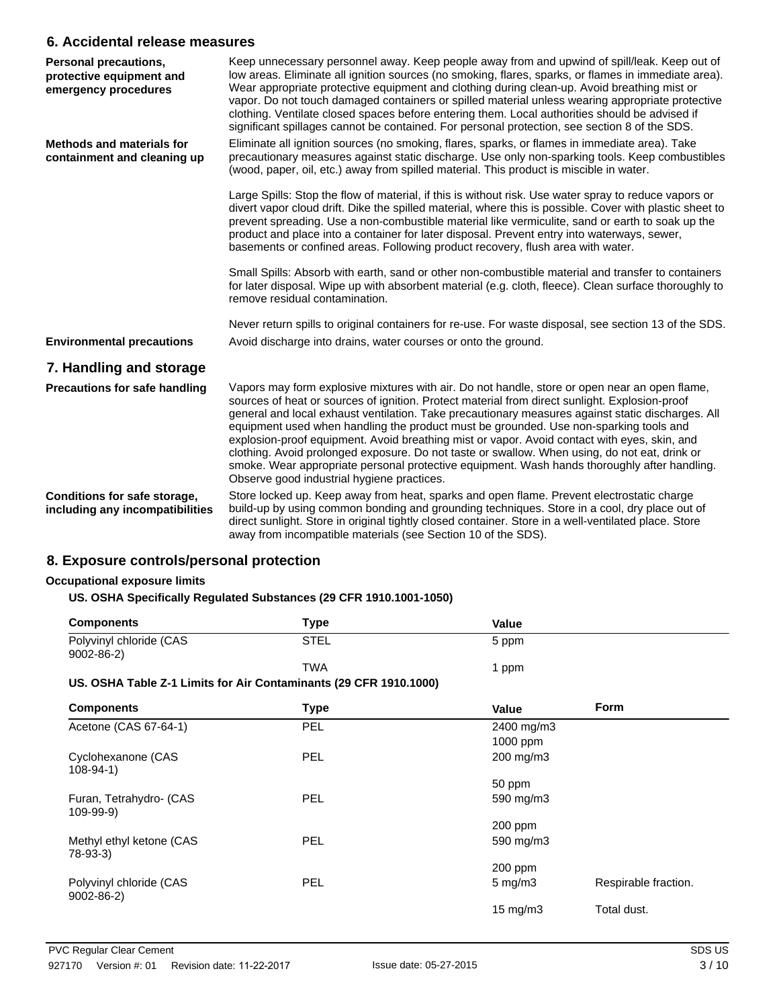### **6. Accidental release measures**

| Personal precautions,<br>protective equipment and<br>emergency procedures | Keep unnecessary personnel away. Keep people away from and upwind of spill/leak. Keep out of<br>low areas. Eliminate all ignition sources (no smoking, flares, sparks, or flames in immediate area).<br>Wear appropriate protective equipment and clothing during clean-up. Avoid breathing mist or<br>vapor. Do not touch damaged containers or spilled material unless wearing appropriate protective<br>clothing. Ventilate closed spaces before entering them. Local authorities should be advised if<br>significant spillages cannot be contained. For personal protection, see section 8 of the SDS.                                                                                                                                   |
|---------------------------------------------------------------------------|----------------------------------------------------------------------------------------------------------------------------------------------------------------------------------------------------------------------------------------------------------------------------------------------------------------------------------------------------------------------------------------------------------------------------------------------------------------------------------------------------------------------------------------------------------------------------------------------------------------------------------------------------------------------------------------------------------------------------------------------|
| <b>Methods and materials for</b><br>containment and cleaning up           | Eliminate all ignition sources (no smoking, flares, sparks, or flames in immediate area). Take<br>precautionary measures against static discharge. Use only non-sparking tools. Keep combustibles<br>(wood, paper, oil, etc.) away from spilled material. This product is miscible in water.                                                                                                                                                                                                                                                                                                                                                                                                                                                 |
|                                                                           | Large Spills: Stop the flow of material, if this is without risk. Use water spray to reduce vapors or<br>divert vapor cloud drift. Dike the spilled material, where this is possible. Cover with plastic sheet to<br>prevent spreading. Use a non-combustible material like vermiculite, sand or earth to soak up the<br>product and place into a container for later disposal. Prevent entry into waterways, sewer,<br>basements or confined areas. Following product recovery, flush area with water.                                                                                                                                                                                                                                      |
|                                                                           | Small Spills: Absorb with earth, sand or other non-combustible material and transfer to containers<br>for later disposal. Wipe up with absorbent material (e.g. cloth, fleece). Clean surface thoroughly to<br>remove residual contamination.                                                                                                                                                                                                                                                                                                                                                                                                                                                                                                |
|                                                                           | Never return spills to original containers for re-use. For waste disposal, see section 13 of the SDS.                                                                                                                                                                                                                                                                                                                                                                                                                                                                                                                                                                                                                                        |
| <b>Environmental precautions</b>                                          | Avoid discharge into drains, water courses or onto the ground.                                                                                                                                                                                                                                                                                                                                                                                                                                                                                                                                                                                                                                                                               |
| 7. Handling and storage                                                   |                                                                                                                                                                                                                                                                                                                                                                                                                                                                                                                                                                                                                                                                                                                                              |
| <b>Precautions for safe handling</b>                                      | Vapors may form explosive mixtures with air. Do not handle, store or open near an open flame,<br>sources of heat or sources of ignition. Protect material from direct sunlight. Explosion-proof<br>general and local exhaust ventilation. Take precautionary measures against static discharges. All<br>equipment used when handling the product must be grounded. Use non-sparking tools and<br>explosion-proof equipment. Avoid breathing mist or vapor. Avoid contact with eyes, skin, and<br>clothing. Avoid prolonged exposure. Do not taste or swallow. When using, do not eat, drink or<br>smoke. Wear appropriate personal protective equipment. Wash hands thoroughly after handling.<br>Observe good industrial hygiene practices. |
| Conditions for safe storage,<br>including any incompatibilities           | Store locked up. Keep away from heat, sparks and open flame. Prevent electrostatic charge<br>build-up by using common bonding and grounding techniques. Store in a cool, dry place out of<br>direct sunlight. Store in original tightly closed container. Store in a well-ventilated place. Store<br>away from incompatible materials (see Section 10 of the SDS).                                                                                                                                                                                                                                                                                                                                                                           |

## **8. Exposure controls/personal protection**

### **Occupational exposure limits**

#### **US. OSHA Specifically Regulated Substances (29 CFR 1910.1001-1050)**

| <b>Components</b>                          | Type       | Value |  |
|--------------------------------------------|------------|-------|--|
| Polyvinyl chloride (CAS<br>$9002 - 86 - 2$ | STEL       | 5 ppm |  |
|                                            | <b>TWA</b> | ppm   |  |

#### **US. OSHA Table Z-1 Limits for Air Contaminants (29 CFR 1910.1000)**

| <b>Components</b>                          | <b>Type</b> | <b>Value</b>      | <b>Form</b>          |
|--------------------------------------------|-------------|-------------------|----------------------|
| Acetone (CAS 67-64-1)                      | PEL         | 2400 mg/m3        |                      |
|                                            |             | 1000 ppm          |                      |
| Cyclohexanone (CAS<br>$108 - 94 - 1$       | PEL         | 200 mg/m3         |                      |
|                                            |             | 50 ppm            |                      |
| Furan, Tetrahydro- (CAS<br>$109 - 99 - 9)$ | <b>PEL</b>  | 590 mg/m3         |                      |
|                                            |             | 200 ppm           |                      |
| Methyl ethyl ketone (CAS<br>78-93-3)       | PEL         | 590 mg/m3         |                      |
|                                            |             | $200$ ppm         |                      |
| Polyvinyl chloride (CAS<br>$9002 - 86 - 2$ | <b>PEL</b>  | $5 \text{ mg/m}$  | Respirable fraction. |
|                                            |             | $15 \text{ mg/m}$ | Total dust.          |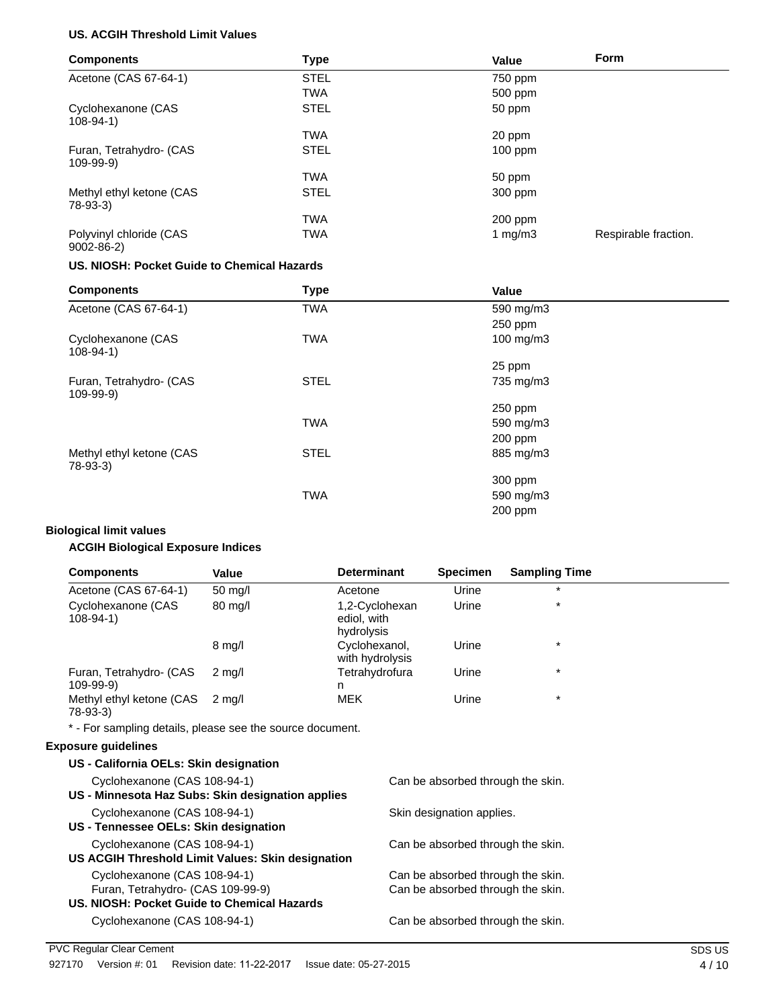#### **US. ACGIH Threshold Limit Values**

| <b>Components</b>                          | <b>Type</b> | Value      | Form                 |
|--------------------------------------------|-------------|------------|----------------------|
| Acetone (CAS 67-64-1)                      | <b>STEL</b> | 750 ppm    |                      |
|                                            | <b>TWA</b>  | 500 ppm    |                      |
| Cyclohexanone (CAS<br>$108 - 94 - 1$       | <b>STEL</b> | 50 ppm     |                      |
|                                            | <b>TWA</b>  | 20 ppm     |                      |
| Furan, Tetrahydro- (CAS<br>$109 - 99 - 9)$ | <b>STEL</b> | $100$ ppm  |                      |
|                                            | <b>TWA</b>  | 50 ppm     |                      |
| Methyl ethyl ketone (CAS<br>$78-93-3$      | <b>STEL</b> | 300 ppm    |                      |
|                                            | <b>TWA</b>  | 200 ppm    |                      |
| Polyvinyl chloride (CAS<br>$9002 - 86 - 2$ | <b>TWA</b>  | 1 mg/m $3$ | Respirable fraction. |

#### **US. NIOSH: Pocket Guide to Chemical Hazards**

| <b>Components</b>                          | <b>Type</b> | Value     |  |
|--------------------------------------------|-------------|-----------|--|
| Acetone (CAS 67-64-1)                      | <b>TWA</b>  | 590 mg/m3 |  |
|                                            |             | 250 ppm   |  |
| Cyclohexanone (CAS<br>$108-94-1)$          | <b>TWA</b>  | 100 mg/m3 |  |
|                                            |             | 25 ppm    |  |
| Furan, Tetrahydro- (CAS<br>$109 - 99 - 9)$ | <b>STEL</b> | 735 mg/m3 |  |
|                                            |             | $250$ ppm |  |
|                                            | <b>TWA</b>  | 590 mg/m3 |  |
|                                            |             | 200 ppm   |  |
| Methyl ethyl ketone (CAS<br>78-93-3)       | <b>STEL</b> | 885 mg/m3 |  |
|                                            |             | 300 ppm   |  |
|                                            | <b>TWA</b>  | 590 mg/m3 |  |
|                                            |             | 200 ppm   |  |

#### **Biological limit values**

### **ACGIH Biological Exposure Indices**

| <b>Components</b>                     | Value             | <b>Determinant</b>                          | <b>Specimen</b> | <b>Sampling Time</b> |  |
|---------------------------------------|-------------------|---------------------------------------------|-----------------|----------------------|--|
| Acetone (CAS 67-64-1)                 | $50 \text{ mg/l}$ | Acetone                                     | Urine           | $\star$              |  |
| Cyclohexanone (CAS<br>108-94-1)       | $80 \text{ mg/l}$ | 1,2-Cyclohexan<br>ediol, with<br>hydrolysis | Urine           | $\star$              |  |
|                                       | $8 \text{ mg/l}$  | Cyclohexanol,<br>with hydrolysis            | Urine           | $\star$              |  |
| Furan, Tetrahydro- (CAS<br>109-99-9)  | $2 \text{ ma/l}$  | Tetrahydrofura<br>n                         | Urine           | $\star$              |  |
| Methyl ethyl ketone (CAS<br>$78-93-3$ | 2 ma/l            | <b>MEK</b>                                  | Urine           | $\star$              |  |

\* - For sampling details, please see the source document.

#### **Exposure guidelines**

| US - California OELs: Skin designation            |                                   |
|---------------------------------------------------|-----------------------------------|
| Cyclohexanone (CAS 108-94-1)                      | Can be absorbed through the skin. |
| US - Minnesota Haz Subs: Skin designation applies |                                   |
| Cyclohexanone (CAS 108-94-1)                      | Skin designation applies.         |
| US - Tennessee OELs: Skin designation             |                                   |
| Cyclohexanone (CAS 108-94-1)                      | Can be absorbed through the skin. |
| US ACGIH Threshold Limit Values: Skin designation |                                   |
| Cyclohexanone (CAS 108-94-1)                      | Can be absorbed through the skin. |
| Furan, Tetrahydro- (CAS 109-99-9)                 | Can be absorbed through the skin. |
| US. NIOSH: Pocket Guide to Chemical Hazards       |                                   |
| Cyclohexanone (CAS 108-94-1)                      | Can be absorbed through the skin. |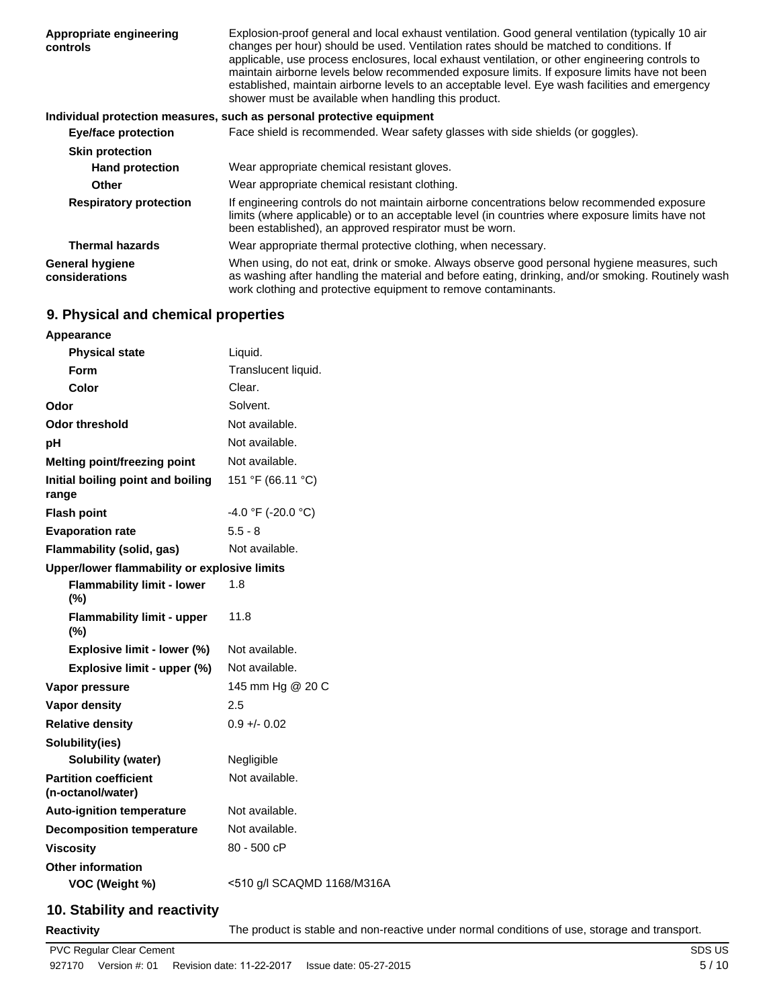| Appropriate engineering<br>controls      | Explosion-proof general and local exhaust ventilation. Good general ventilation (typically 10 air<br>changes per hour) should be used. Ventilation rates should be matched to conditions. If<br>applicable, use process enclosures, local exhaust ventilation, or other engineering controls to<br>maintain airborne levels below recommended exposure limits. If exposure limits have not been<br>established, maintain airborne levels to an acceptable level. Eye wash facilities and emergency<br>shower must be available when handling this product. |
|------------------------------------------|------------------------------------------------------------------------------------------------------------------------------------------------------------------------------------------------------------------------------------------------------------------------------------------------------------------------------------------------------------------------------------------------------------------------------------------------------------------------------------------------------------------------------------------------------------|
|                                          | Individual protection measures, such as personal protective equipment                                                                                                                                                                                                                                                                                                                                                                                                                                                                                      |
| <b>Eye/face protection</b>               | Face shield is recommended. Wear safety glasses with side shields (or goggles).                                                                                                                                                                                                                                                                                                                                                                                                                                                                            |
| <b>Skin protection</b>                   |                                                                                                                                                                                                                                                                                                                                                                                                                                                                                                                                                            |
| <b>Hand protection</b>                   | Wear appropriate chemical resistant gloves.                                                                                                                                                                                                                                                                                                                                                                                                                                                                                                                |
| <b>Other</b>                             | Wear appropriate chemical resistant clothing.                                                                                                                                                                                                                                                                                                                                                                                                                                                                                                              |
| <b>Respiratory protection</b>            | If engineering controls do not maintain airborne concentrations below recommended exposure<br>limits (where applicable) or to an acceptable level (in countries where exposure limits have not<br>been established), an approved respirator must be worn.                                                                                                                                                                                                                                                                                                  |
| <b>Thermal hazards</b>                   | Wear appropriate thermal protective clothing, when necessary.                                                                                                                                                                                                                                                                                                                                                                                                                                                                                              |
| <b>General hygiene</b><br>considerations | When using, do not eat, drink or smoke. Always observe good personal hygiene measures, such<br>as washing after handling the material and before eating, drinking, and/or smoking. Routinely wash<br>work clothing and protective equipment to remove contaminants.                                                                                                                                                                                                                                                                                        |

# **9. Physical and chemical properties**

| Appearance                                        |                            |
|---------------------------------------------------|----------------------------|
| <b>Physical state</b>                             | Liquid.                    |
| Form                                              | Translucent liquid.        |
| Color                                             | Clear.                     |
| Odor                                              | Solvent.                   |
| Odor threshold                                    | Not available.             |
| pH                                                | Not available.             |
| <b>Melting point/freezing point</b>               | Not available.             |
| Initial boiling point and boiling<br>range        | 151 °F (66.11 °C)          |
| <b>Flash point</b>                                | $-4.0$ °F (-20.0 °C)       |
| <b>Evaporation rate</b>                           | $5.5 - 8$                  |
| Flammability (solid, gas)                         | Not available.             |
| Upper/lower flammability or explosive limits      |                            |
| <b>Flammability limit - lower</b><br>(%)          | 1.8                        |
| <b>Flammability limit - upper</b><br>(%)          | 11.8                       |
| Explosive limit - lower (%)                       | Not available.             |
| Explosive limit - upper (%)                       | Not available.             |
| Vapor pressure                                    | 145 mm Hg @ 20 C           |
| <b>Vapor density</b>                              | 2.5                        |
| <b>Relative density</b>                           | $0.9 + - 0.02$             |
| Solubility(ies)                                   |                            |
| Solubility (water)                                | Negligible                 |
| <b>Partition coefficient</b><br>(n-octanol/water) | Not available.             |
| <b>Auto-ignition temperature</b>                  | Not available.             |
| <b>Decomposition temperature</b>                  | Not available.             |
| <b>Viscositv</b>                                  | 80 - 500 cP                |
| <b>Other information</b>                          |                            |
| VOC (Weight %)                                    | <510 g/l SCAQMD 1168/M316A |
|                                                   |                            |

# **10. Stability and reactivity**

**Reactivity** The product is stable and non-reactive under normal conditions of use, storage and transport.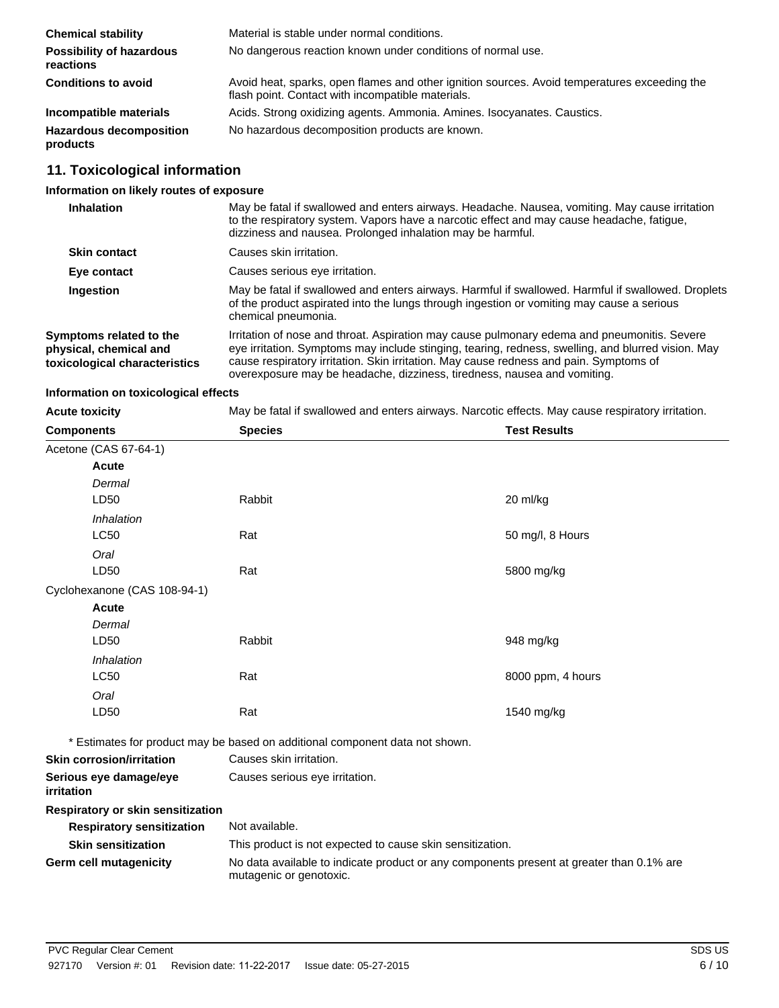| <b>Chemical stability</b>                    | Material is stable under normal conditions.                                                                                                       |
|----------------------------------------------|---------------------------------------------------------------------------------------------------------------------------------------------------|
| <b>Possibility of hazardous</b><br>reactions | No dangerous reaction known under conditions of normal use.                                                                                       |
| <b>Conditions to avoid</b>                   | Avoid heat, sparks, open flames and other ignition sources. Avoid temperatures exceeding the<br>flash point. Contact with incompatible materials. |
| Incompatible materials                       | Acids. Strong oxidizing agents. Ammonia. Amines. Isocyanates. Caustics.                                                                           |
| <b>Hazardous decomposition</b><br>products   | No hazardous decomposition products are known.                                                                                                    |

# **11. Toxicological information**

# **Information on likely routes of exposure**

| <b>Inhalation</b>                                                                  | May be fatal if swallowed and enters airways. Headache. Nausea, vomiting. May cause irritation<br>to the respiratory system. Vapors have a narcotic effect and may cause headache, fatigue,<br>dizziness and nausea. Prolonged inhalation may be harmful.                                                                                                               |
|------------------------------------------------------------------------------------|-------------------------------------------------------------------------------------------------------------------------------------------------------------------------------------------------------------------------------------------------------------------------------------------------------------------------------------------------------------------------|
| <b>Skin contact</b>                                                                | Causes skin irritation.                                                                                                                                                                                                                                                                                                                                                 |
| Eye contact                                                                        | Causes serious eye irritation.                                                                                                                                                                                                                                                                                                                                          |
| Ingestion                                                                          | May be fatal if swallowed and enters airways. Harmful if swallowed. Harmful if swallowed. Droplets<br>of the product aspirated into the lungs through ingestion or vomiting may cause a serious<br>chemical pneumonia.                                                                                                                                                  |
| Symptoms related to the<br>physical, chemical and<br>toxicological characteristics | Irritation of nose and throat. Aspiration may cause pulmonary edema and pneumonitis. Severe<br>eye irritation. Symptoms may include stinging, tearing, redness, swelling, and blurred vision. May<br>cause respiratory irritation. Skin irritation. May cause redness and pain. Symptoms of<br>overexposure may be headache, dizziness, tiredness, nausea and vomiting. |

### **Information on toxicological effects**

| <b>Acute toxicity</b>                | May be fatal if swallowed and enters airways. Narcotic effects. May cause respiratory irritation.                   |                     |  |
|--------------------------------------|---------------------------------------------------------------------------------------------------------------------|---------------------|--|
| <b>Components</b>                    | <b>Species</b>                                                                                                      | <b>Test Results</b> |  |
| Acetone (CAS 67-64-1)                |                                                                                                                     |                     |  |
| Acute                                |                                                                                                                     |                     |  |
| Dermal                               |                                                                                                                     |                     |  |
| LD50                                 | Rabbit                                                                                                              | 20 ml/kg            |  |
| Inhalation                           |                                                                                                                     |                     |  |
| <b>LC50</b>                          | Rat                                                                                                                 | 50 mg/l, 8 Hours    |  |
| Oral                                 |                                                                                                                     |                     |  |
| LD50                                 | Rat                                                                                                                 | 5800 mg/kg          |  |
| Cyclohexanone (CAS 108-94-1)         |                                                                                                                     |                     |  |
| Acute                                |                                                                                                                     |                     |  |
| Dermal                               |                                                                                                                     |                     |  |
| LD50                                 | Rabbit                                                                                                              | 948 mg/kg           |  |
| Inhalation                           |                                                                                                                     |                     |  |
| <b>LC50</b>                          | Rat                                                                                                                 | 8000 ppm, 4 hours   |  |
| Oral                                 |                                                                                                                     |                     |  |
| LD50                                 | Rat                                                                                                                 | 1540 mg/kg          |  |
|                                      | * Estimates for product may be based on additional component data not shown.                                        |                     |  |
| <b>Skin corrosion/irritation</b>     | Causes skin irritation.                                                                                             |                     |  |
| Serious eye damage/eye<br>irritation | Causes serious eye irritation.                                                                                      |                     |  |
| Respiratory or skin sensitization    |                                                                                                                     |                     |  |
| <b>Respiratory sensitization</b>     | Not available.                                                                                                      |                     |  |
| <b>Skin sensitization</b>            | This product is not expected to cause skin sensitization.                                                           |                     |  |
| <b>Germ cell mutagenicity</b>        | No data available to indicate product or any components present at greater than 0.1% are<br>mutagenic or genotoxic. |                     |  |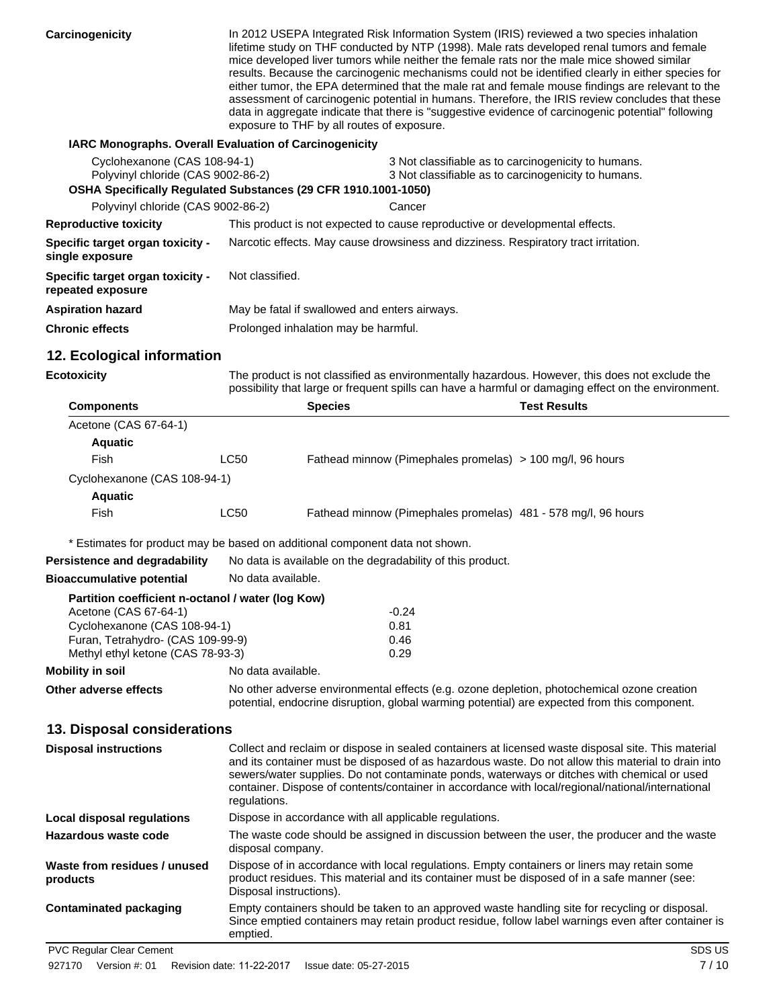**Carcinogenicity** In 2012 USEPA Integrated Risk Information System (IRIS) reviewed a two species inhalation lifetime study on THF conducted by NTP (1998). Male rats developed renal tumors and female mice developed liver tumors while neither the female rats nor the male mice showed similar results. Because the carcinogenic mechanisms could not be identified clearly in either species for either tumor, the EPA determined that the male rat and female mouse findings are relevant to the assessment of carcinogenic potential in humans. Therefore, the IRIS review concludes that these data in aggregate indicate that there is "suggestive evidence of carcinogenic potential" following exposure to THF by all routes of exposure.

#### **IARC Monographs. Overall Evaluation of Carcinogenicity**

| Cyclohexanone (CAS 108-94-1)<br>Polyvinyl chloride (CAS 9002-86-2) | OSHA Specifically Regulated Substances (29 CFR 1910.1001-1050)                      | 3 Not classifiable as to carcinogenicity to humans.<br>3 Not classifiable as to carcinogenicity to humans. |
|--------------------------------------------------------------------|-------------------------------------------------------------------------------------|------------------------------------------------------------------------------------------------------------|
| Polyvinyl chloride (CAS 9002-86-2)                                 |                                                                                     | Cancer                                                                                                     |
| <b>Reproductive toxicity</b>                                       | This product is not expected to cause reproductive or developmental effects.        |                                                                                                            |
| <b>Specific target organ toxicity -</b><br>single exposure         | Narcotic effects. May cause drowsiness and dizziness. Respiratory tract irritation. |                                                                                                            |
| <b>Specific target organ toxicity -</b><br>repeated exposure       | Not classified.                                                                     |                                                                                                            |
| Aspiration hazard                                                  | May be fatal if swallowed and enters airways.                                       |                                                                                                            |
| <b>Chronic effects</b>                                             | Prolonged inhalation may be harmful.                                                |                                                                                                            |

### **12. Ecological information**

**Bioaccumulative potential** No data available.

**Ecotoxicity**

The product is not classified as environmentally hazardous. However, this does not exclude the possibility that large or frequent spills can have a harmful or damaging effect on the environment.

| <b>Components</b>            |      | <b>Species</b> | Test Results                                                  |  |
|------------------------------|------|----------------|---------------------------------------------------------------|--|
| Acetone (CAS 67-64-1)        |      |                |                                                               |  |
| <b>Aquatic</b>               |      |                |                                                               |  |
| Fish                         | LC50 |                | Fathead minnow (Pimephales promelas) > 100 mg/l, 96 hours     |  |
| Cyclohexanone (CAS 108-94-1) |      |                |                                                               |  |
| <b>Aquatic</b>               |      |                |                                                               |  |
| Fish                         | LC50 |                | Fathead minnow (Pimephales promelas) 481 - 578 mg/l, 96 hours |  |
|                              |      |                |                                                               |  |

\* Estimates for product may be based on additional component data not shown.

**Persistence and degradability** No data is available on the degradability of this product.

| Partition coefficient n-octanol / water (log Kow) |                                                                                                                                                                                                                                                                                                                                                                                                                              |                                                                                                                                                                                                      |
|---------------------------------------------------|------------------------------------------------------------------------------------------------------------------------------------------------------------------------------------------------------------------------------------------------------------------------------------------------------------------------------------------------------------------------------------------------------------------------------|------------------------------------------------------------------------------------------------------------------------------------------------------------------------------------------------------|
| Acetone (CAS 67-64-1)                             |                                                                                                                                                                                                                                                                                                                                                                                                                              | $-0.24$                                                                                                                                                                                              |
| Cyclohexanone (CAS 108-94-1)                      |                                                                                                                                                                                                                                                                                                                                                                                                                              | 0.81                                                                                                                                                                                                 |
| Furan, Tetrahydro- (CAS 109-99-9)                 |                                                                                                                                                                                                                                                                                                                                                                                                                              | 0.46                                                                                                                                                                                                 |
| Methyl ethyl ketone (CAS 78-93-3)                 |                                                                                                                                                                                                                                                                                                                                                                                                                              | 0.29                                                                                                                                                                                                 |
| <b>Mobility in soil</b>                           | No data available.                                                                                                                                                                                                                                                                                                                                                                                                           |                                                                                                                                                                                                      |
| Other adverse effects                             | No other adverse environmental effects (e.g. ozone depletion, photochemical ozone creation<br>potential, endocrine disruption, global warming potential) are expected from this component.                                                                                                                                                                                                                                   |                                                                                                                                                                                                      |
| 13. Disposal considerations                       |                                                                                                                                                                                                                                                                                                                                                                                                                              |                                                                                                                                                                                                      |
| <b>Disposal instructions</b>                      | Collect and reclaim or dispose in sealed containers at licensed waste disposal site. This material<br>and its container must be disposed of as hazardous waste. Do not allow this material to drain into<br>sewers/water supplies. Do not contaminate ponds, waterways or ditches with chemical or used<br>container. Dispose of contents/container in accordance with local/regional/national/international<br>regulations. |                                                                                                                                                                                                      |
| <b>Local disposal regulations</b>                 |                                                                                                                                                                                                                                                                                                                                                                                                                              | Dispose in accordance with all applicable regulations.                                                                                                                                               |
| Hazardous waste code                              | disposal company.                                                                                                                                                                                                                                                                                                                                                                                                            | The waste code should be assigned in discussion between the user, the producer and the waste                                                                                                         |
| Waste from residues / unused<br>products          | Disposal instructions).                                                                                                                                                                                                                                                                                                                                                                                                      | Dispose of in accordance with local regulations. Empty containers or liners may retain some<br>product residues. This material and its container must be disposed of in a safe manner (see:          |
| <b>Contaminated packaging</b>                     | emptied.                                                                                                                                                                                                                                                                                                                                                                                                                     | Empty containers should be taken to an approved waste handling site for recycling or disposal.<br>Since emptied containers may retain product residue, follow label warnings even after container is |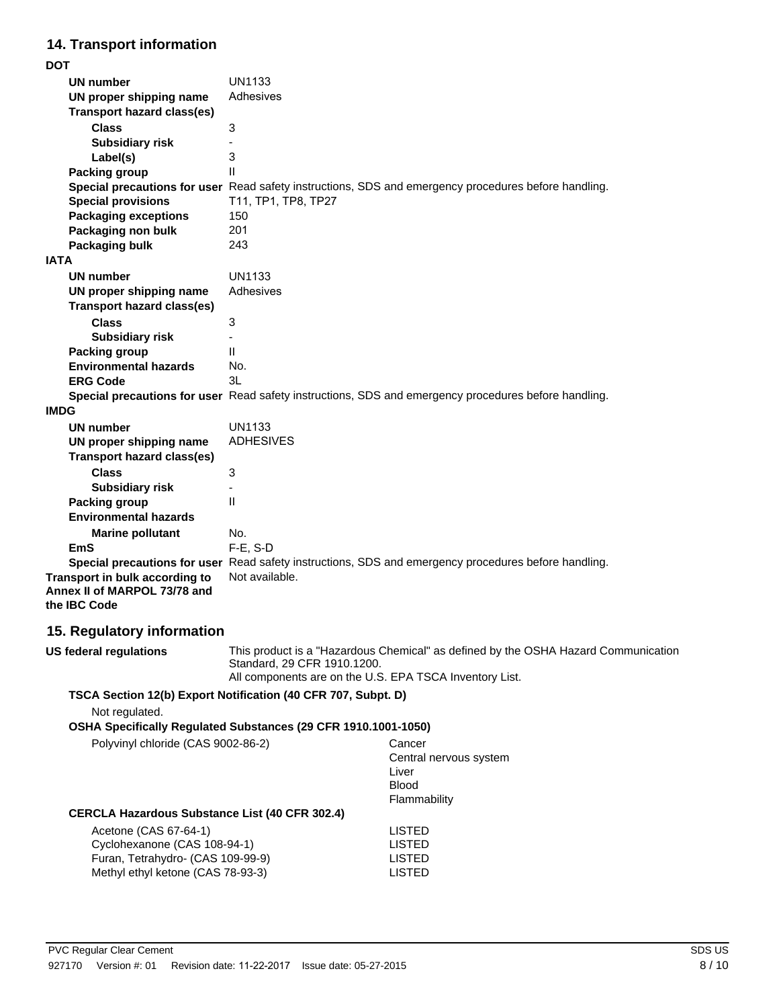# **14. Transport information**

| <b>DOT</b>                        |                                                                                                      |
|-----------------------------------|------------------------------------------------------------------------------------------------------|
| UN number                         | <b>UN1133</b>                                                                                        |
| UN proper shipping name           | Adhesives                                                                                            |
| <b>Transport hazard class(es)</b> |                                                                                                      |
| <b>Class</b>                      | 3                                                                                                    |
| <b>Subsidiary risk</b>            |                                                                                                      |
| Label(s)                          | 3                                                                                                    |
| <b>Packing group</b>              | $\mathsf{II}$                                                                                        |
|                                   | Special precautions for user Read safety instructions, SDS and emergency procedures before handling. |
| <b>Special provisions</b>         | T11, TP1, TP8, TP27                                                                                  |
| <b>Packaging exceptions</b>       | 150                                                                                                  |
| Packaging non bulk                | 201                                                                                                  |
| Packaging bulk                    | 243                                                                                                  |
| <b>IATA</b>                       |                                                                                                      |
| <b>UN number</b>                  | UN1133                                                                                               |
| UN proper shipping name           | Adhesives                                                                                            |
| <b>Transport hazard class(es)</b> |                                                                                                      |
| <b>Class</b>                      | 3                                                                                                    |
| <b>Subsidiary risk</b>            |                                                                                                      |
| <b>Packing group</b>              | $\mathbf{I}$                                                                                         |
| <b>Environmental hazards</b>      | No.                                                                                                  |
| <b>ERG Code</b>                   | 3L                                                                                                   |
|                                   | Special precautions for user Read safety instructions, SDS and emergency procedures before handling. |
| <b>IMDG</b>                       |                                                                                                      |
| <b>UN number</b>                  | <b>UN1133</b>                                                                                        |
| UN proper shipping name           | <b>ADHESIVES</b>                                                                                     |
| <b>Transport hazard class(es)</b> |                                                                                                      |
| <b>Class</b>                      | 3                                                                                                    |
| <b>Subsidiary risk</b>            |                                                                                                      |
| <b>Packing group</b>              | Ш                                                                                                    |
| <b>Environmental hazards</b>      |                                                                                                      |
| <b>Marine pollutant</b>           | No.                                                                                                  |
| <b>EmS</b>                        | F-E, S-D                                                                                             |
|                                   | Special precautions for user Read safety instructions, SDS and emergency procedures before handling. |
| Transport in bulk according to    | Not available.                                                                                       |
| Annex II of MARPOL 73/78 and      |                                                                                                      |
| the IBC Code                      |                                                                                                      |
|                                   |                                                                                                      |

# **15. Regulatory information**

**US federal regulations**

This product is a "Hazardous Chemical" as defined by the OSHA Hazard Communication Standard, 29 CFR 1910.1200. All components are on the U.S. EPA TSCA Inventory List.

#### **TSCA Section 12(b) Export Notification (40 CFR 707, Subpt. D)**

Not regulated.

**OSHA Specifically Regulated Substances (29 CFR 1910.1001-1050)**

| Polyvinyl chloride (CAS 9002-86-2)                                                                                              | Cancer<br>Central nervous system<br>Liver<br><b>Blood</b><br>Flammability |
|---------------------------------------------------------------------------------------------------------------------------------|---------------------------------------------------------------------------|
| CERCLA Hazardous Substance List (40 CFR 302.4)                                                                                  |                                                                           |
| Acetone (CAS 67-64-1)<br>Cyclohexanone (CAS 108-94-1)<br>Furan, Tetrahydro- (CAS 109-99-9)<br>Methyl ethyl ketone (CAS 78-93-3) | LISTED<br>LISTED<br>LISTED<br>LISTED                                      |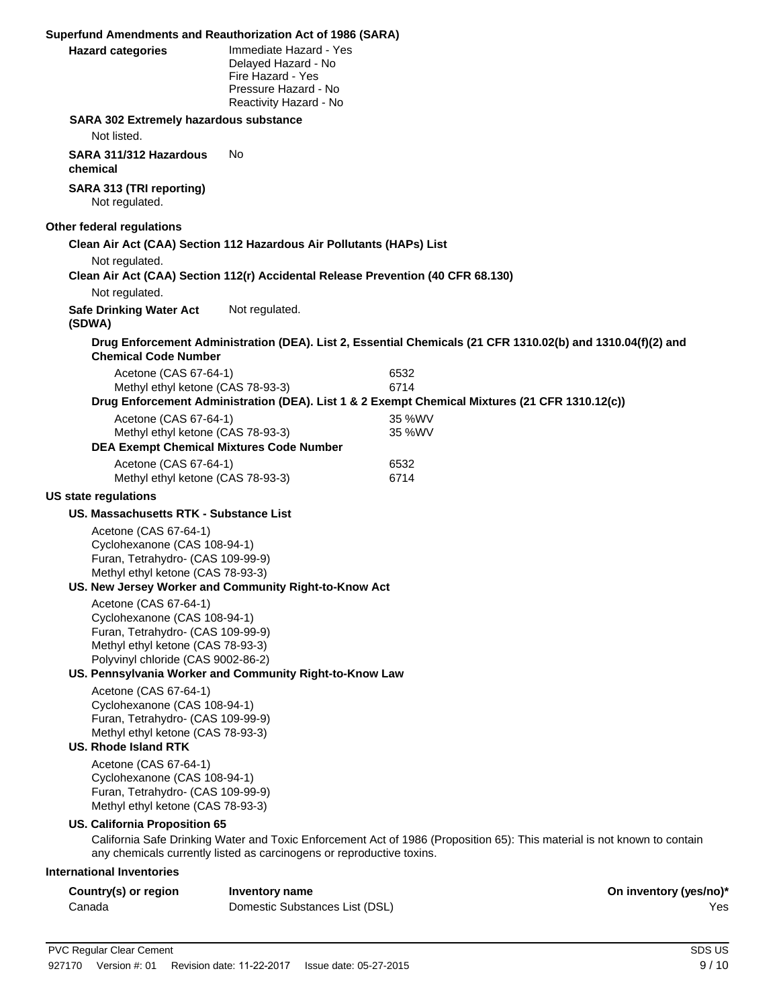|                                                                                            | Superfund Amendments and Reauthorization Act of 1986 (SARA)                                                          |                                                                                                                          |
|--------------------------------------------------------------------------------------------|----------------------------------------------------------------------------------------------------------------------|--------------------------------------------------------------------------------------------------------------------------|
| <b>Hazard categories</b>                                                                   | Immediate Hazard - Yes<br>Delayed Hazard - No<br>Fire Hazard - Yes<br>Pressure Hazard - No<br>Reactivity Hazard - No |                                                                                                                          |
| SARA 302 Extremely hazardous substance                                                     |                                                                                                                      |                                                                                                                          |
| Not listed.                                                                                |                                                                                                                      |                                                                                                                          |
| SARA 311/312 Hazardous<br>chemical                                                         | No                                                                                                                   |                                                                                                                          |
| SARA 313 (TRI reporting)<br>Not regulated.                                                 |                                                                                                                      |                                                                                                                          |
| Other federal regulations                                                                  |                                                                                                                      |                                                                                                                          |
|                                                                                            | Clean Air Act (CAA) Section 112 Hazardous Air Pollutants (HAPs) List                                                 |                                                                                                                          |
| Not regulated.                                                                             | Clean Air Act (CAA) Section 112(r) Accidental Release Prevention (40 CFR 68.130)                                     |                                                                                                                          |
| Not regulated.<br><b>Safe Drinking Water Act</b><br>(SDWA)                                 | Not regulated.                                                                                                       |                                                                                                                          |
| <b>Chemical Code Number</b>                                                                |                                                                                                                      | Drug Enforcement Administration (DEA). List 2, Essential Chemicals (21 CFR 1310.02(b) and 1310.04(f)(2) and              |
| Acetone (CAS 67-64-1)                                                                      |                                                                                                                      | 6532                                                                                                                     |
| Methyl ethyl ketone (CAS 78-93-3)                                                          |                                                                                                                      | 6714<br>Drug Enforcement Administration (DEA). List 1 & 2 Exempt Chemical Mixtures (21 CFR 1310.12(c))                   |
| Acetone (CAS 67-64-1)                                                                      |                                                                                                                      | 35 %WV                                                                                                                   |
| Methyl ethyl ketone (CAS 78-93-3)                                                          | <b>DEA Exempt Chemical Mixtures Code Number</b>                                                                      | 35 %WV                                                                                                                   |
| Acetone (CAS 67-64-1)                                                                      |                                                                                                                      | 6532                                                                                                                     |
| Methyl ethyl ketone (CAS 78-93-3)                                                          |                                                                                                                      | 6714                                                                                                                     |
| <b>US state regulations</b>                                                                |                                                                                                                      |                                                                                                                          |
| US. Massachusetts RTK - Substance List                                                     |                                                                                                                      |                                                                                                                          |
| Acetone (CAS 67-64-1)<br>Cyclohexanone (CAS 108-94-1)                                      |                                                                                                                      |                                                                                                                          |
| Furan, Tetrahydro- (CAS 109-99-9)<br>Methyl ethyl ketone (CAS 78-93-3)                     |                                                                                                                      |                                                                                                                          |
|                                                                                            | US. New Jersey Worker and Community Right-to-Know Act                                                                |                                                                                                                          |
| Acetone (CAS 67-64-1)                                                                      |                                                                                                                      |                                                                                                                          |
| Cyclohexanone (CAS 108-94-1)                                                               |                                                                                                                      |                                                                                                                          |
| Furan, Tetrahydro- (CAS 109-99-9)<br>Methyl ethyl ketone (CAS 78-93-3)                     |                                                                                                                      |                                                                                                                          |
| Polyvinyl chloride (CAS 9002-86-2)                                                         |                                                                                                                      |                                                                                                                          |
|                                                                                            | US. Pennsylvania Worker and Community Right-to-Know Law                                                              |                                                                                                                          |
| Acetone (CAS 67-64-1)<br>Cyclohexanone (CAS 108-94-1)                                      |                                                                                                                      |                                                                                                                          |
| Furan, Tetrahydro- (CAS 109-99-9)<br>Methyl ethyl ketone (CAS 78-93-3)                     |                                                                                                                      |                                                                                                                          |
| <b>US. Rhode Island RTK</b>                                                                |                                                                                                                      |                                                                                                                          |
| Acetone (CAS 67-64-1)<br>Cyclohexanone (CAS 108-94-1)<br>Furan, Tetrahydro- (CAS 109-99-9) |                                                                                                                      |                                                                                                                          |
| Methyl ethyl ketone (CAS 78-93-3)                                                          |                                                                                                                      |                                                                                                                          |
| US. California Proposition 65                                                              | any chemicals currently listed as carcinogens or reproductive toxins.                                                | California Safe Drinking Water and Toxic Enforcement Act of 1986 (Proposition 65): This material is not known to contain |
| <b>International Inventories</b>                                                           |                                                                                                                      |                                                                                                                          |
| Country(s) or region                                                                       | <b>Inventory name</b>                                                                                                | On inventory (yes/no)*                                                                                                   |
| Canada                                                                                     | Domestic Substances List (DSL)                                                                                       | Yes                                                                                                                      |